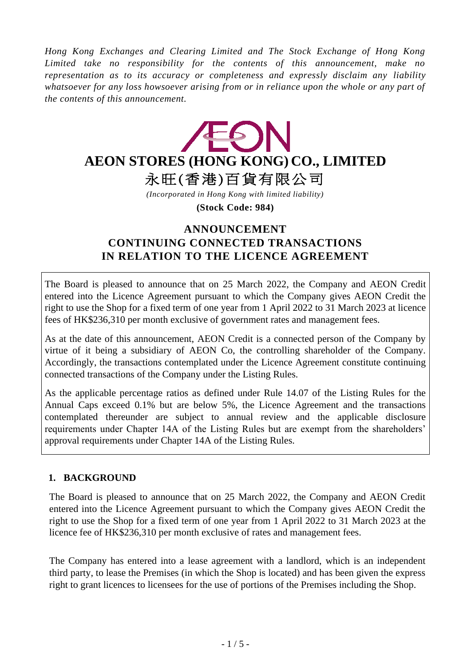*Hong Kong Exchanges and Clearing Limited and The Stock Exchange of Hong Kong Limited take no responsibility for the contents of this announcement, make no representation as to its accuracy or completeness and expressly disclaim any liability whatsoever for any loss howsoever arising from or in reliance upon the whole or any part of the contents of this announcement.*



*(Incorporated in Hong Kong with limited liability)*

**(Stock Code: 984)**

# **ANNOUNCEMENT CONTINUING CONNECTED TRANSACTIONS IN RELATION TO THE LICENCE AGREEMENT**

The Board is pleased to announce that on 25 March 2022, the Company and AEON Credit entered into the Licence Agreement pursuant to which the Company gives AEON Credit the right to use the Shop for a fixed term of one year from 1 April 2022 to 31 March 2023 at licence fees of HK\$236,310 per month exclusive of government rates and management fees.

As at the date of this announcement, AEON Credit is a connected person of the Company by virtue of it being a subsidiary of AEON Co, the controlling shareholder of the Company. Accordingly, the transactions contemplated under the Licence Agreement constitute continuing connected transactions of the Company under the Listing Rules.

As the applicable percentage ratios as defined under Rule 14.07 of the Listing Rules for the Annual Caps exceed 0.1% but are below 5%, the Licence Agreement and the transactions contemplated thereunder are subject to annual review and the applicable disclosure requirements under Chapter 14A of the Listing Rules but are exempt from the shareholders' approval requirements under Chapter 14A of the Listing Rules.

## **1. BACKGROUND**

The Board is pleased to announce that on 25 March 2022, the Company and AEON Credit entered into the Licence Agreement pursuant to which the Company gives AEON Credit the right to use the Shop for a fixed term of one year from 1 April 2022 to 31 March 2023 at the licence fee of HK\$236,310 per month exclusive of rates and management fees.

The Company has entered into a lease agreement with a landlord, which is an independent third party, to lease the Premises (in which the Shop is located) and has been given the express right to grant licences to licensees for the use of portions of the Premises including the Shop.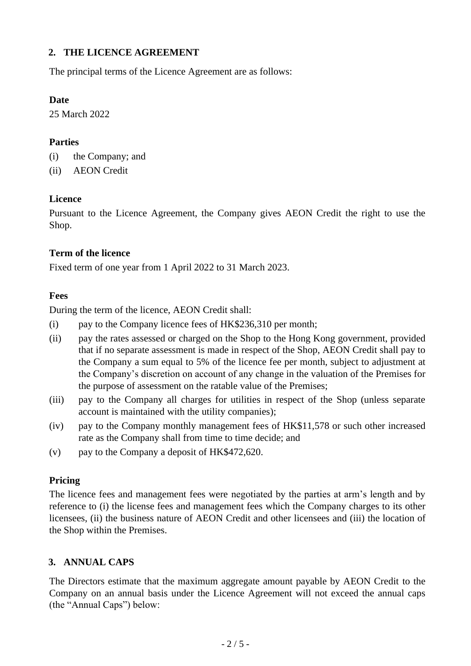### **2. THE LICENCE AGREEMENT**

The principal terms of the Licence Agreement are as follows:

#### **Date**

25 March 2022

#### **Parties**

- (i) the Company; and
- (ii) AEON Credit

#### **Licence**

Pursuant to the Licence Agreement, the Company gives AEON Credit the right to use the Shop.

#### **Term of the licence**

Fixed term of one year from 1 April 2022 to 31 March 2023.

#### **Fees**

During the term of the licence, AEON Credit shall:

- (i) pay to the Company licence fees of HK\$236,310 per month;
- (ii) pay the rates assessed or charged on the Shop to the Hong Kong government, provided that if no separate assessment is made in respect of the Shop, AEON Credit shall pay to the Company a sum equal to 5% of the licence fee per month, subject to adjustment at the Company's discretion on account of any change in the valuation of the Premises for the purpose of assessment on the ratable value of the Premises;
- (iii) pay to the Company all charges for utilities in respect of the Shop (unless separate account is maintained with the utility companies);
- (iv) pay to the Company monthly management fees of HK\$11,578 or such other increased rate as the Company shall from time to time decide; and
- (v) pay to the Company a deposit of HK\$472,620.

#### **Pricing**

The licence fees and management fees were negotiated by the parties at arm's length and by reference to (i) the license fees and management fees which the Company charges to its other licensees, (ii) the business nature of AEON Credit and other licensees and (iii) the location of the Shop within the Premises.

#### **3. ANNUAL CAPS**

The Directors estimate that the maximum aggregate amount payable by AEON Credit to the Company on an annual basis under the Licence Agreement will not exceed the annual caps (the "Annual Caps") below: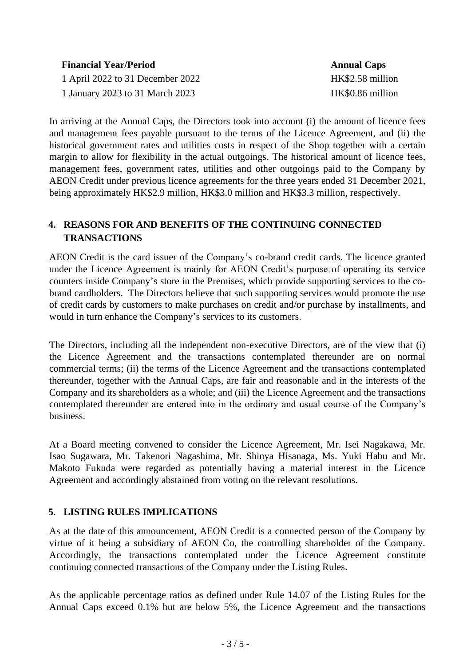| <b>Financial Year/Period</b>     | <b>Annual Caps</b> |
|----------------------------------|--------------------|
| 1 April 2022 to 31 December 2022 | HK\$2.58 million   |
| 1 January 2023 to 31 March 2023  | HK\$0.86 million   |

In arriving at the Annual Caps, the Directors took into account (i) the amount of licence fees and management fees payable pursuant to the terms of the Licence Agreement, and (ii) the historical government rates and utilities costs in respect of the Shop together with a certain margin to allow for flexibility in the actual outgoings. The historical amount of licence fees, management fees, government rates, utilities and other outgoings paid to the Company by AEON Credit under previous licence agreements for the three years ended 31 December 2021, being approximately HK\$2.9 million, HK\$3.0 million and HK\$3.3 million, respectively.

## **4. REASONS FOR AND BENEFITS OF THE CONTINUING CONNECTED TRANSACTIONS**

AEON Credit is the card issuer of the Company's co-brand credit cards. The licence granted under the Licence Agreement is mainly for AEON Credit's purpose of operating its service counters inside Company's store in the Premises, which provide supporting services to the cobrand cardholders. The Directors believe that such supporting services would promote the use of credit cards by customers to make purchases on credit and/or purchase by installments, and would in turn enhance the Company's services to its customers.

The Directors, including all the independent non-executive Directors, are of the view that (i) the Licence Agreement and the transactions contemplated thereunder are on normal commercial terms; (ii) the terms of the Licence Agreement and the transactions contemplated thereunder, together with the Annual Caps, are fair and reasonable and in the interests of the Company and its shareholders as a whole; and (iii) the Licence Agreement and the transactions contemplated thereunder are entered into in the ordinary and usual course of the Company's business.

At a Board meeting convened to consider the Licence Agreement, Mr. Isei Nagakawa, Mr. Isao Sugawara, Mr. Takenori Nagashima, Mr. Shinya Hisanaga, Ms. Yuki Habu and Mr. Makoto Fukuda were regarded as potentially having a material interest in the Licence Agreement and accordingly abstained from voting on the relevant resolutions.

## **5. LISTING RULES IMPLICATIONS**

As at the date of this announcement, AEON Credit is a connected person of the Company by virtue of it being a subsidiary of AEON Co, the controlling shareholder of the Company. Accordingly, the transactions contemplated under the Licence Agreement constitute continuing connected transactions of the Company under the Listing Rules.

As the applicable percentage ratios as defined under Rule 14.07 of the Listing Rules for the Annual Caps exceed 0.1% but are below 5%, the Licence Agreement and the transactions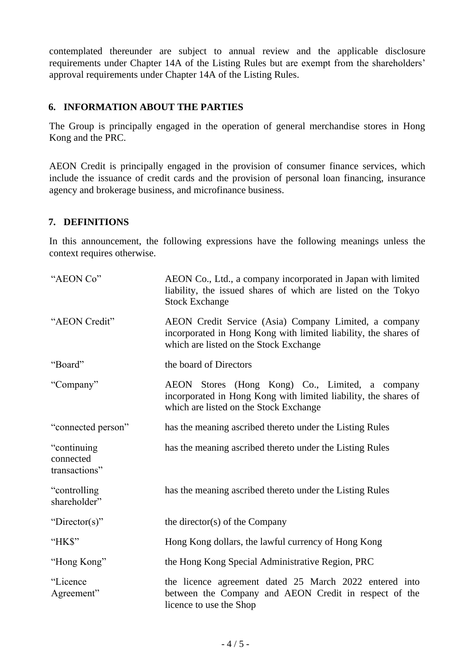contemplated thereunder are subject to annual review and the applicable disclosure requirements under Chapter 14A of the Listing Rules but are exempt from the shareholders' approval requirements under Chapter 14A of the Listing Rules.

### **6. INFORMATION ABOUT THE PARTIES**

The Group is principally engaged in the operation of general merchandise stores in Hong Kong and the PRC.

AEON Credit is principally engaged in the provision of consumer finance services, which include the issuance of credit cards and the provision of personal loan financing, insurance agency and brokerage business, and microfinance business.

#### **7. DEFINITIONS**

In this announcement, the following expressions have the following meanings unless the context requires otherwise.

| "AEON Co"                                  | AEON Co., Ltd., a company incorporated in Japan with limited<br>liability, the issued shares of which are listed on the Tokyo<br><b>Stock Exchange</b>             |
|--------------------------------------------|--------------------------------------------------------------------------------------------------------------------------------------------------------------------|
| "AEON Credit"                              | AEON Credit Service (Asia) Company Limited, a company<br>incorporated in Hong Kong with limited liability, the shares of<br>which are listed on the Stock Exchange |
| "Board"                                    | the board of Directors                                                                                                                                             |
| "Company"                                  | AEON Stores (Hong Kong) Co., Limited, a company<br>incorporated in Hong Kong with limited liability, the shares of<br>which are listed on the Stock Exchange       |
| "connected person"                         | has the meaning ascribed thereto under the Listing Rules                                                                                                           |
| "continuing"<br>connected<br>transactions" | has the meaning ascribed thereto under the Listing Rules                                                                                                           |
| "controlling"<br>shareholder"              | has the meaning ascribed thereto under the Listing Rules                                                                                                           |
| "Director(s)"                              | the director(s) of the Company                                                                                                                                     |
| "HK\$"                                     | Hong Kong dollars, the lawful currency of Hong Kong                                                                                                                |
| "Hong Kong"                                | the Hong Kong Special Administrative Region, PRC                                                                                                                   |
| "Licence<br>Agreement"                     | the licence agreement dated 25 March 2022 entered into<br>between the Company and AEON Credit in respect of the<br>licence to use the Shop                         |